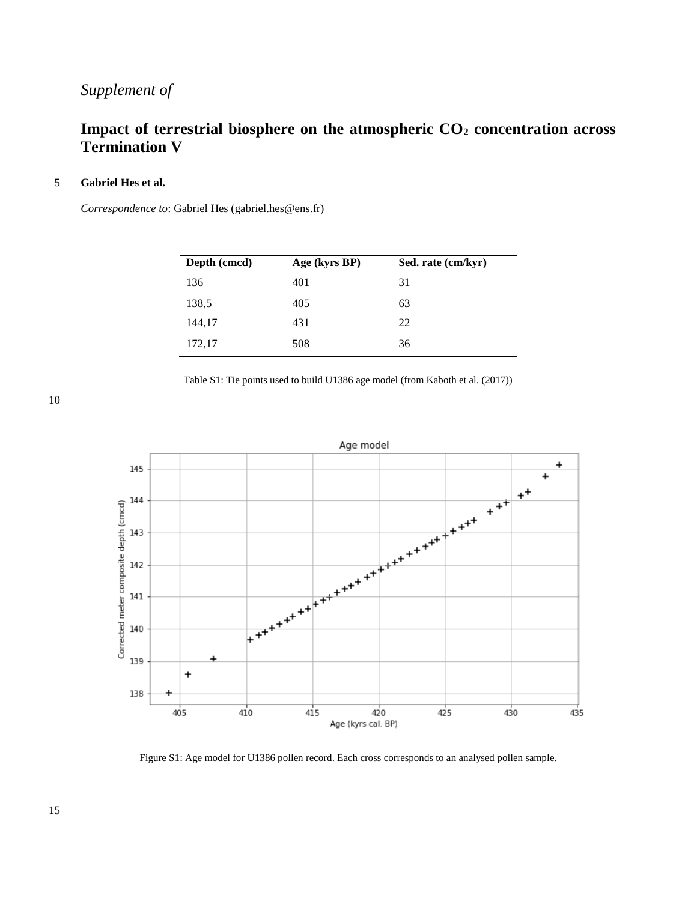## *Supplement of*

## **Impact of terrestrial biosphere on the atmospheric CO<sup>2</sup> concentration across Termination V**

## 5 **Gabriel Hes et al.**

*Correspondence to*: Gabriel Hes (gabriel.hes@ens.fr)

| Depth (cmcd) | Age (kyrs BP) | Sed. rate (cm/kyr) |
|--------------|---------------|--------------------|
| 136          | 401           | 31                 |
| 138,5        | 405           | 63                 |
| 144,17       | 431           | 22                 |
| 172,17       | 508           | 36                 |

Table S1: Tie points used to build U1386 age model (from Kaboth et al. (2017))

10



Figure S1: Age model for U1386 pollen record. Each cross corresponds to an analysed pollen sample.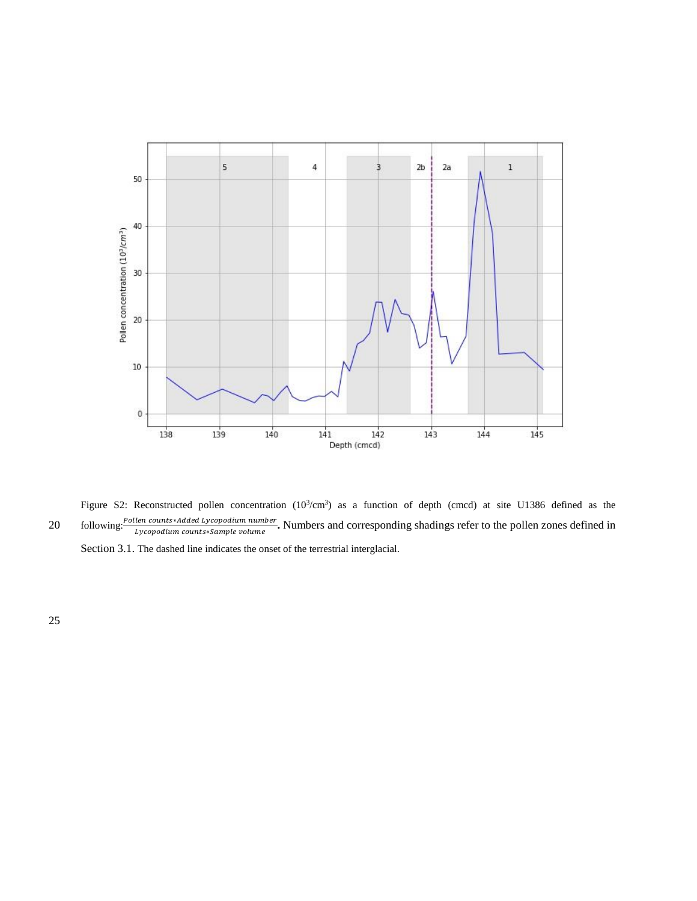

Figure S2: Reconstructed pollen concentration  $(10^3/cm^3)$  as a function of depth (cmcd) at site U1386 defined as the following: <sup>Pollen counts\*Added Lycopodium number.</sup> Numbers and corresponding shadings refer to the pollen zones defined in<br>
↓ Lycopodium counts\*Sample volume<br>
→ Numbers and corresponding shadings refer to the pollen zone

Section 3.1. The dashed line indicates the onset of the terrestrial interglacial.

25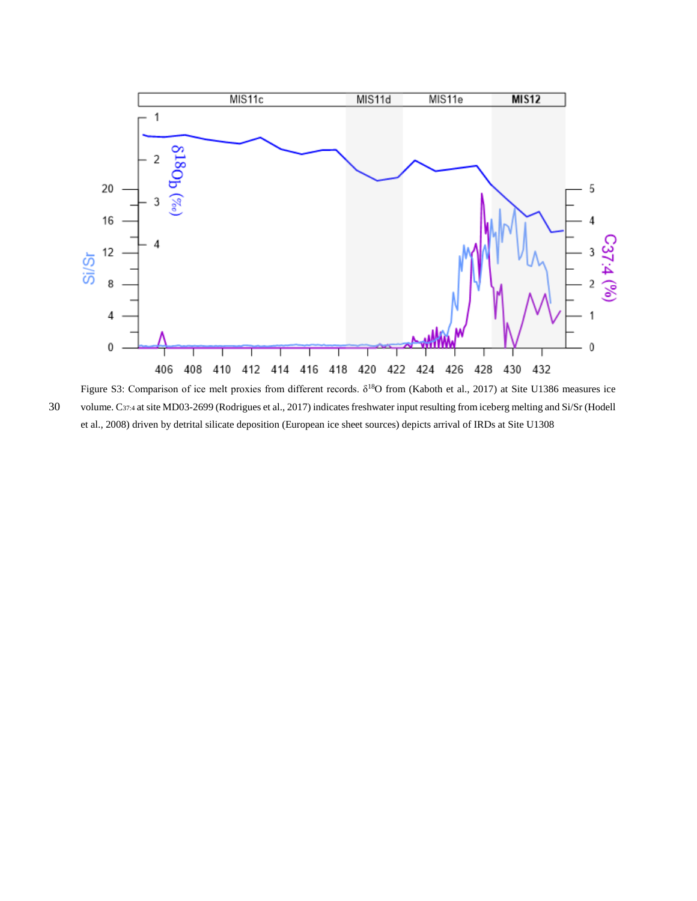

Figure S3: Comparison of ice melt proxies from different records. δ<sup>18</sup>O from (Kaboth et al., 2017) at Site U1386 measures ice 30 volume. C37:4 at site MD03-2699 (Rodrigues et al., 2017) indicates freshwater input resulting from iceberg melting and Si/Sr (Hodell et al., 2008) driven by detrital silicate deposition (European ice sheet sources) depicts arrival of IRDs at Site U1308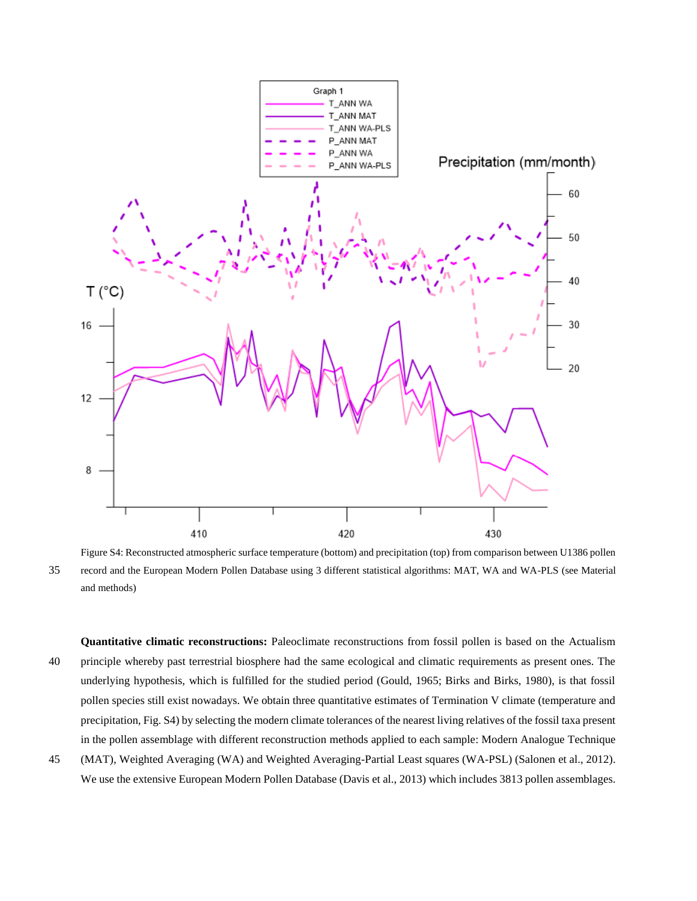

Figure S4: Reconstructed atmospheric surface temperature (bottom) and precipitation (top) from comparison between U1386 pollen 35 record and the European Modern Pollen Database using 3 different statistical algorithms: MAT, WA and WA-PLS (see Material and methods)

**Quantitative climatic reconstructions:** Paleoclimate reconstructions from fossil pollen is based on the Actualism 40 principle whereby past terrestrial biosphere had the same ecological and climatic requirements as present ones. The underlying hypothesis, which is fulfilled for the studied period (Gould, 1965; Birks and Birks, 1980), is that fossil pollen species still exist nowadays. We obtain three quantitative estimates of Termination V climate (temperature and precipitation, Fig. S4) by selecting the modern climate tolerances of the nearest living relatives of the fossil taxa present in the pollen assemblage with different reconstruction methods applied to each sample: Modern Analogue Technique

45 (MAT), Weighted Averaging (WA) and Weighted Averaging-Partial Least squares (WA-PSL) (Salonen et al., 2012). We use the extensive European Modern Pollen Database (Davis et al., 2013) which includes 3813 pollen assemblages.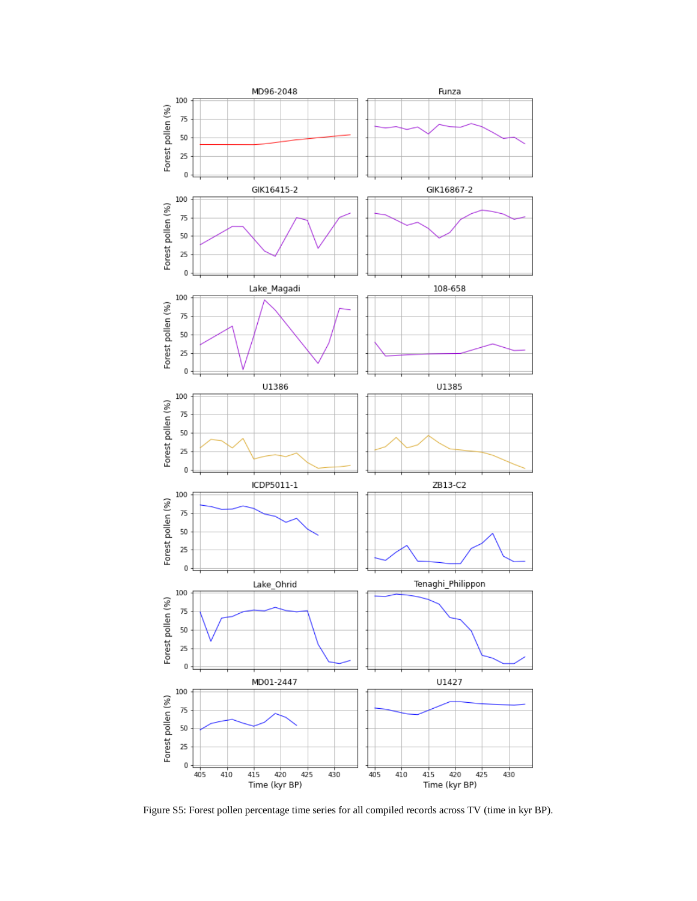

Figure S5: Forest pollen percentage time series for all compiled records across TV (time in kyr BP).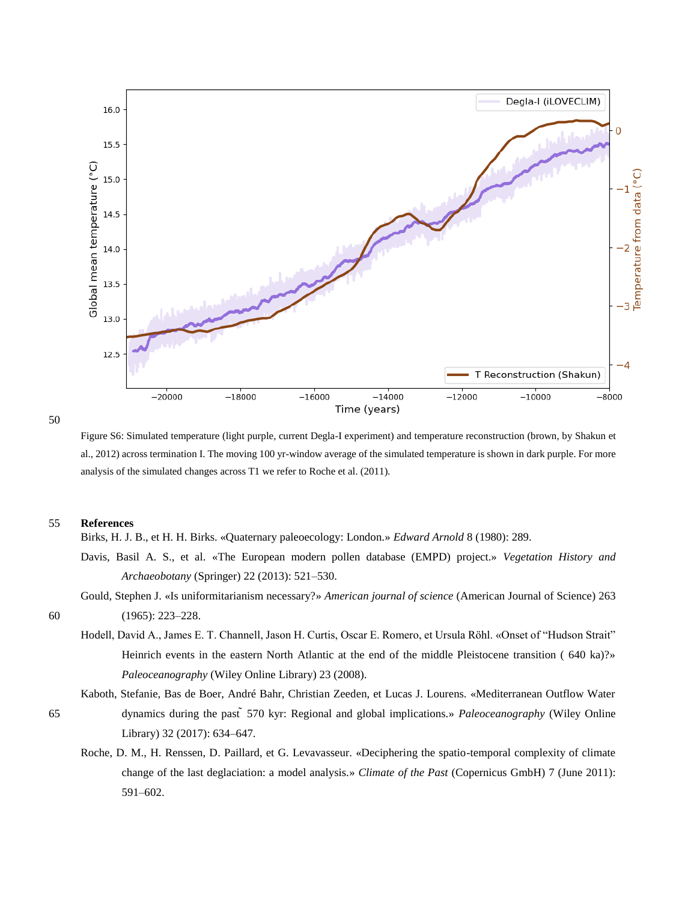

50

Figure S6: Simulated temperature (light purple, current Degla-I experiment) and temperature reconstruction (brown, by Shakun et al., 2012) across termination I. The moving 100 yr-window average of the simulated temperature is shown in dark purple. For more analysis of the simulated changes across T1 we refer to Roche et al. (2011).

## 55 **References**

Birks, H. J. B., et H. H. Birks. «Quaternary paleoecology: London.» *Edward Arnold* 8 (1980): 289.

- Davis, Basil A. S., et al. «The European modern pollen database (EMPD) project.» *Vegetation History and Archaeobotany* (Springer) 22 (2013): 521–530.
- Gould, Stephen J. «Is uniformitarianism necessary?» *American journal of science* (American Journal of Science) 263 60 (1965): 223–228.
	- Hodell, David A., James E. T. Channell, Jason H. Curtis, Oscar E. Romero, et Ursula Röhl. «Onset of "Hudson Strait" Heinrich events in the eastern North Atlantic at the end of the middle Pleistocene transition ( 640 ka)?» *Paleoceanography* (Wiley Online Library) 23 (2008).
- Kaboth, Stefanie, Bas de Boer, André Bahr, Christian Zeeden, et Lucas J. Lourens. «Mediterranean Outflow Water 65 dynamics during the past ̃570 kyr: Regional and global implications.» *Paleoceanography* (Wiley Online Library) 32 (2017): 634–647.
	- Roche, D. M., H. Renssen, D. Paillard, et G. Levavasseur. «Deciphering the spatio-temporal complexity of climate change of the last deglaciation: a model analysis.» *Climate of the Past* (Copernicus GmbH) 7 (June 2011): 591–602.